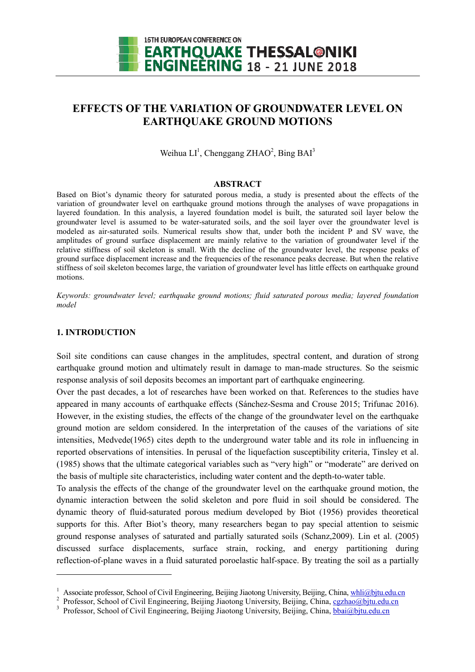

# **EFFECTS OF THE VARIATION OF GROUNDW GROUNDWATER LEVEL ON ATER EARTHQUAKE GROUND MOTIONS**

Weihua  $LI<sup>1</sup>$ , Chenggang ZHAO<sup>2</sup>, Bing BAI<sup>3</sup>

#### **ABSTRACT**

Based on Biot's dynamic theory for saturated porous media, a study is presented about the effects of the variation of groundwater level on earthquake ground motions through the analyses of wave propagations in layered foundation. In this analysis, a layered foundation model is built, the saturated soil layer below the groundwater level is assumed to be water-saturated soils, and the soil layer over the groundwater level is modeled as air-saturated soils. Numerical results show that, under both the incident P and SV wave, the amplitudes of ground surface displacement are mainly relative to the variation of groundwater level if the relative stiffness of soil skeleton is small. With the decline of the groundwater level, the response peaks of ground surface displacement increase and the frequencies of the resonance peaks decrease. But when the relative stiffness of soil skeleton becomes large, the variation of groundwater level has little effects on earthquake ground motions.

*Keywords: groundwater level; earthquake ground motions; fluid saturated porous media; layered foundation model* 

## **1. INTRODUCTION**

l

l

Soil site conditions can cause changes in the amplitudes, spectral content, and duration of strong earthquake ground motion and ultimately result in damage to man-made structures. So the seismic response analysis of soil deposits becomes an important part of earthquake engineering. response analysis of soil deposits becomes an important part of earthquake engineering.

Over the past decades, a lot of researches have been worked on that. References to the studies have appeared in many accounts of earthquake effects (Sánchez-Sesma and Crouse 2015; Trifunac 2016). However, in the existing studies, the effects of the change of the groundwater level on the earthquake ground motion are seldom considered. In the interpretation of the causes of the variations of site intensities, Medvede $(1965)$  cites depth to the underground water table and its role in influencing in reported observations of intensities. In perusal of the liquefaction susceptibility criteria, Tinsley et al. (1985) shows that the ultimate categorical variables such as "very high" or "moderate" are derived on (1985) shows that the ultimate categorical variables such as "very high" or "moderate" are de<br>the basis of multiple site characteristics, including water content and the depth-to-water table.

To analysis the effects of the change of the groundwater level on the earthquake ground motion, the dynamic interaction between the solid skeleton and pore fluid in soil should be considered. The dynamic theory of fluid-saturated porous medium developed by Biot (1956) provides theoretical supports for this. After Biot's theory, many researchers began to pay special attention to seismic ground response analyses of saturated and partially saturated soils (Schanz,2009). Lin et al. (2005) discussed surface displacements, surface strain, rocking, and energy partitioning during reflection-of-plane waves in a fluid saturated poroelastic half-space. By treating the soil as a partially

<sup>&</sup>lt;sup>1</sup> Associate professor, School of Civil Engineering, Beijing Jiaotong University, Beijing, China, whli@bjtu.edu.cn

<sup>&</sup>lt;sup>2</sup> Professor, School of Civil Engineering, Beijing Jiaotong University, Beijing, China, cgzhao@bjtu.edu.cn

<sup>&</sup>lt;sup>3</sup> Professor, School of Civil Engineering, Beijing Jiaotong University, Beijing, China, bbai@bjtu.edu.cn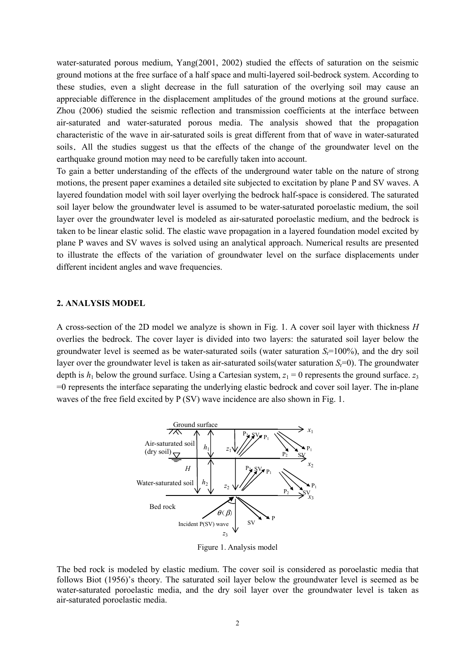water-saturated porous medium, Yang(2001, 2002) studied the effects of saturation on the seismic ground motions at the free surface of a half space and multi-layered soil-bedrock system. According to these studies, even a slight decrease in the full saturation of the overlying soil may cause an appreciable difference in the displacement amplitudes of the ground motions at the ground surface. Zhou (2006) studied the seismic reflection and transmission coefficients at the interface between air-saturated and water-saturated porous media. The analysis showed that the propagation characteristic of the wave in air-saturated soils is great different from that of wave in water-saturated soils.All the studies suggest us that the effects of the change of the groundwater level on the earthquake ground motion may need to be carefully taken into account.

To gain a better understanding of the effects of the underground water table on the nature of strong motions, the present paper examines a detailed site subjected to excitation by plane P and SV waves. A layered foundation model with soil layer overlying the bedrock half-space is considered. The saturated soil layer below the groundwater level is assumed to be water-saturated poroelastic medium, the soil layer over the groundwater level is modeled as air-saturated poroelastic medium, and the bedrock is taken to be linear elastic solid. The elastic wave propagation in a layered foundation model excited by plane P waves and SV waves is solved using an analytical approach. Numerical results are presented to illustrate the effects of the variation of groundwater level on the surface displacements under different incident angles and wave frequencies.

## **2. ANALYSIS MODEL**

A cross-section of the 2D model we analyze is shown in Fig. 1. A cover soil layer with thickness *H* overlies the bedrock. The cover layer is divided into two layers: the saturated soil layer below the groundwater level is seemed as be water-saturated soils (water saturation  $S<sub>r</sub>=100\%$ ), and the dry soil layer over the groundwater level is taken as air-saturated soils(water saturation *S*<sub>r</sub>=0). The groundwater depth is  $h_1$  below the ground surface. Using a Cartesian system,  $z_1 = 0$  represents the ground surface.  $z_3$ =0 represents the interface separating the underlying elastic bedrock and cover soil layer. The in-plane waves of the free field excited by P (SV) wave incidence are also shown in Fig. 1.



Figure 1. Analysis model

The bed rock is modeled by elastic medium. The cover soil is considered as poroelastic media that follows Biot (1956)'s theory. The saturated soil layer below the groundwater level is seemed as be water-saturated poroelastic media, and the dry soil layer over the groundwater level is taken as air-saturated poroelastic media.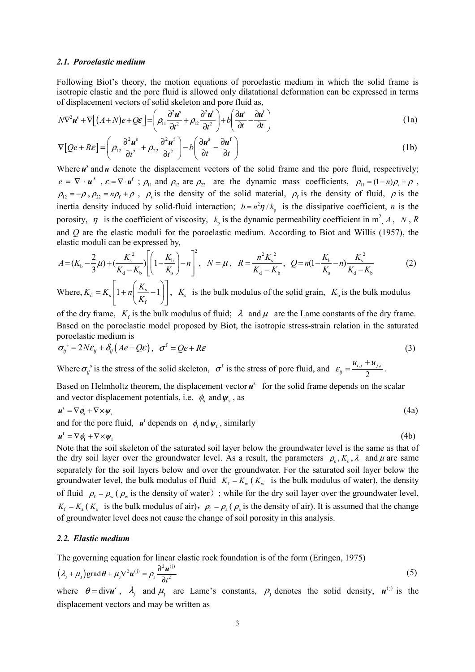#### *2.1. Poroelastic medium*

Following Biot's theory, the motion equations of poroelastic medium in which the solid frame is isotropic elastic and the pore fluid is allowed only dilatational deformation can be expressed in terms of displacement vectors of solid skeleton and pore fluid as,

$$
N\nabla^2 \mathbf{u}^s + \nabla \left[ (A+N)e + Q\mathbf{\varepsilon} \right] = \left( \rho_{11} \frac{\partial^2 \mathbf{u}^s}{\partial t^2} + \rho_{12} \frac{\partial^2 \mathbf{u}^t}{\partial t^2} \right) + b \left( \frac{\partial \mathbf{u}^s}{\partial t} - \frac{\partial \mathbf{u}^t}{\partial t} \right)
$$
(1a)

$$
\nabla \left[ Qe + R\varepsilon \right] = \left( \rho_{12} \frac{\partial^2 u^s}{\partial t^2} + \rho_{22} \frac{\partial^2 u^f}{\partial t^2} \right) - b \left( \frac{\partial u^s}{\partial t} - \frac{\partial u^f}{\partial t} \right) \tag{1b}
$$

Where  $u^s$  and  $u^f$  denote the displacement vectors of the solid frame and the pore fluid, respectively;  $e = \nabla \cdot u^s$ ,  $\varepsilon = \nabla \cdot u^f$ ;  $\rho_{11}$  and  $\rho_{12}$  are  $\rho_{22}$  are the dynamic mass coefficients,  $\rho_{11} = (1-n)\rho_s + \rho$ ,  $\rho_{12} = -\rho$ ,  $\rho_{22} = n\rho_f + \rho$ ,  $\rho_s$  is the density of the solid material,  $\rho_f$  is the density of fluid,  $\rho$  is the inertia density induced by solid-fluid interaction;  $b = n^2 \eta / k_p$  is the dissipative coefficient, *n* is the porosity,  $\eta$  is the coefficient of viscosity,  $k_p$  is the dynamic permeability coefficient in m<sup>2</sup>  $A$ ,  $N$ ,  $R$ and *Q* are the elastic moduli for the poroelastic medium. According to Biot and Willis (1957), the elastic moduli can be expressed by,

$$
A = (K_{b} - \frac{2}{3}\mu) + (\frac{K_{s}^{2}}{K_{d} - K_{b}}) \left[ \left( 1 - \frac{K_{b}}{K_{s}} \right) - n \right]^{2}, \quad N = \mu, \quad R = \frac{n^{2}K_{s}^{2}}{K_{d} - K_{b}}, \quad Q = n(1 - \frac{K_{b}}{K_{s}} - n) \frac{K_{s}^{2}}{K_{d} - K_{b}} \tag{2}
$$

Where,  $K_d = K_s \left| 1 + n \right| \frac{K_s}{K}$ f  $K_{d} = K_{s} \left[ 1 + n \left( \frac{K_{s}}{K} - 1 \right) \right]$ *K*  $= K_s \left[ 1 + n \left( \frac{R_s}{K_f} - 1 \right) \right]$ ,  $K_s$  is the bulk modulus of the solid grain,  $K_b$  is the bulk modulus

of the dry frame,  $K_f$  is the bulk modulus of fluid;  $\lambda$  and  $\mu$  are the Lame constants of the dry frame. Based on the poroelastic model proposed by Biot, the isotropic stress-strain relation in the saturated poroelastic medium is

$$
\sigma_{ij}^s = 2N\varepsilon_{ij} + \delta_{ij}(Ae + Q\varepsilon), \quad \sigma^f = Qe + R\varepsilon
$$
\n(3)

Where  $\sigma_{ij}^s$  is the stress of the solid skeleton,  $\sigma^f$  is the stress of pore fluid, and  $\varepsilon_{ij} = \frac{a_{i,j} + a_{j,j}}{2}$  $i, j$  *i*  $i$  *j*,*i ij*  $\mathcal{E}_{\cdot\cdot} = \frac{u_{i,j} + u_j}{\cdot}$  $=\frac{n_{i,j}-n_{j,i}}{2}$ .

Based on Helmholtz theorem, the displacement vector  $\mathbf{u}^s$  for the solid frame depends on the scalar and vector displacement potentials, i.e.  $\phi_s$  and  $\psi_s$ , as

$$
\boldsymbol{u}^s = \nabla \phi_s + \nabla \times \boldsymbol{\psi}_s \tag{4a}
$$

and for the pore fluid,  $u^f$  depends on  $\phi_f$  nd  $\psi_f$ , similarly

$$
\boldsymbol{u}^{\mathrm{f}} = \nabla \phi_{\mathrm{f}} + \nabla \times \boldsymbol{\psi}_{\mathrm{f}} \tag{4b}
$$

Note that the soil skeleton of the saturated soil layer below the groundwater level is the same as that of the dry soil layer over the groundwater level. As a result, the parameters  $\rho_s$ ,  $K_s$ ,  $\lambda$  and  $\mu$  are same separately for the soil layers below and over the groundwater. For the saturated soil layer below the groundwater level, the bulk modulus of fluid  $K_f = K_w (K_w)$  is the bulk modulus of water), the density of fluid  $\rho_f = \rho_w (\rho_w)$  is the density of water); while for the dry soil layer over the groundwater level,  $K_f = K_a$  ( $K_a$  is the bulk modulus of air),  $\rho_f = \rho_a$  ( $\rho_a$  is the density of air). It is assumed that the change of groundwater level does not cause the change of soil porosity in this analysis.

#### *2.2. Elastic medium*

The governing equation for linear elastic rock foundation is of the form (Eringen, 1975)

$$
\left(\lambda_{j} + \mu_{j}\right) \text{grad}\,\theta + \mu_{j} \nabla^{2} \boldsymbol{u}^{(j)} = \rho_{j} \frac{\partial^{2} \boldsymbol{u}^{(j)}}{\partial t^{2}} \tag{5}
$$

where  $\theta = \text{div}\mathbf{u}'$ ,  $\lambda_j$  and  $\mu_j$  are Lame's constants,  $\rho_j$  denotes the solid density,  $\mathbf{u}^{(j)}$  is the displacement vectors and may be written as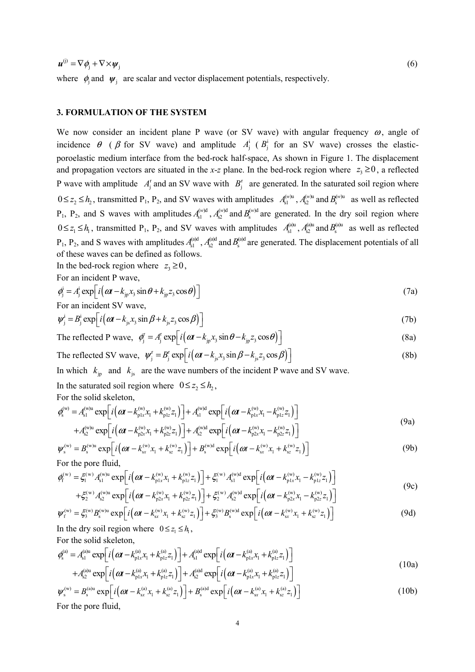$u^{(j)} = \nabla \phi_i + \nabla \times \psi_j$  (6)

where  $\phi_j$  and  $\psi_j$  are scalar and vector displacement potentials, respectively.

# **3. FORMULATION OF THE SYSTEM**

We now consider an incident plane P wave (or SV wave) with angular frequency  $\omega$ , angle of incidence  $\theta$  ( $\beta$  for SV wave) and amplitude  $A_j^i$  ( $B_j^i$  for an SV wave) crosses the elasticporoelastic medium interface from the bed-rock half-space, As shown in Figure 1. The displacement and propagation vectors are situated in the *x*-*z* plane. In the bed-rock region where  $z_3 \ge 0$ , a reflected P wave with amplitude  $A_j^r$  and an SV wave with  $B_j^r$  are generated. In the saturated soil region where  $0 \le z_2 \le h_2$ , transmitted P<sub>1</sub>, P<sub>2</sub>, and SV waves with amplitudes  $A_{s1}^{(w)u}$ ,  $A_{s2}^{(w)u}$  $A_{s2}^{(w)u}$  and  $B_s^{(w)u}$  as well as reflected  $P_1$ ,  $P_2$ , and S waves with amplitudes  $A_{s1}^{(w)d}$ ,  $A_{s2}^{(w)d}$  $A_{s2}^{(w)d}$  and  $B_{s}^{(w)d}$  are generated. In the dry soil region where  $0 \le z_1 \le h_1$ , transmitted P<sub>1</sub>, P<sub>2</sub>, and SV waves with amplitudes  $A_{s_1}^{(a)u}$ ,  $A_{s_2}^{(a)u}$  and  $B_s^{(a)u}$  as well as reflected  $P_1$ ,  $P_2$ , and S waves with amplitudes  $A_{s1}^{(a)d}$ ,  $A_{s2}^{(a)d}$  and  $B_s^{(a)d}$  are generated. The displacement potentials of all of these waves can be defined as follows.

In the bed-rock region where  $z_3 \ge 0$ ,

For an incident P wave,

$$
\phi_j^i = A_j^i \exp\left[i\left(\alpha t - k_{j_p} x_3 \sin \theta + k_{j_p} z_3 \cos \theta\right)\right]
$$
\nFor an incident SV wave

\n
$$
(7a)
$$

$$
\psi_j^i = B_j^i \exp\left[i\left(\alpha t - k_{js}x_j \sin \beta + k_{js}z_j \cos \beta\right)\right]
$$
\n(7b)

The reflected P wave, 
$$
\phi_j^r = A_j^r \exp\left[i\left(\boldsymbol{\alpha}t - k_{jp}x_3\sin\theta - k_{jp}z_3\cos\theta\right)\right]
$$
 (8a)

The reflected SV wave, 
$$
\psi_j^r = B_j^r \exp\left[i\left(\boldsymbol{\alpha}t - k_{js}x_3\sin\beta - k_{js}z_3\cos\beta\right)\right]
$$
 (8b)

In which  $k_{\text{ip}}$  and  $k_{\text{is}}$  are the wave numbers of the incident P wave and SV wave.

In the saturated soil region where  $0 \le z_2 \le h_2$ ,

For the solid skeleton,

$$
\phi_{s}^{(w)} = A_{s1}^{(w)u} \exp\left[i\left(\alpha t - k_{p1x}^{(w)} x_{1} + k_{p1z}^{(w)} z_{1}\right)\right] + A_{s1}^{(w)d} \exp\left[i\left(\alpha t - k_{p1x}^{(w)} x_{1} - k_{p1z}^{(w)} z_{1}\right)\right] + A_{s2}^{(w)u} \exp\left[i\left(\alpha t - k_{p2x}^{(w)} x_{1} + k_{p2z}^{(w)} z_{1}\right)\right] + A_{s2}^{(w)d} \exp\left[i\left(\alpha t - k_{p2x}^{(w)} x_{1} - k_{p2z}^{(w)} z_{1}\right)\right]
$$
\n(9a)

$$
\psi_{s}^{(w)} = B_{s}^{(w)u} \exp\left[i\left(\omega t - k_{sx}^{(w)}x_{1} + k_{sz}^{(w)}z_{1}\right)\right] + B_{s}^{(w)d} \exp\left[i\left(\omega t - k_{sx}^{(w)}x_{1} + k_{sz}^{(w)}z_{1}\right)\right]
$$
\nFor the pore fluid

\n(9b)

For the pore fluid,

$$
\phi_{f}^{(w)} = \xi_{1}^{(w)} A_{s1}^{(w)u} \exp\left[i\left(\omega t - k_{p1x}^{(w)} x_{1} + k_{p1z}^{(w)} z_{1}\right)\right] + \xi_{1}^{(w)} A_{s1}^{(w)d} \exp\left[i\left(\omega t - k_{p1x}^{(w)} x_{1} - k_{p1z}^{(w)} z_{1}\right)\right]
$$
\n(9c)

$$
+\xi_2^{(w)}A_{s2}^{(w)u} \exp\left[i\left(\omega t - k_{p2x}^{(w)}x_1 + k_{p2z}^{(w)}z_1\right)\right] + \xi_2^{(w)}A_{s2}^{(w)d} \exp\left[i\left(\omega t - k_{p2x}^{(w)}x_1 - k_{p2z}^{(w)}z_1\right)\right]
$$

$$
\psi_{f}^{(w)} = \xi_{3}^{(w)} B_{s}^{(w)u} \exp \left[ i \left( \omega t - k_{sx}^{(w)} x_{1} + k_{sz}^{(w)} z_{1} \right) \right] + \xi_{3}^{(w)} B_{s}^{(w)d} \exp \left[ i \left( \omega t - k_{sx}^{(w)} x_{1} + k_{sz}^{(w)} z_{1} \right) \right]
$$
\nIn the dry soil region where  $0 \le z_{1} \le h_{1}$ ,

\n(9d)

For the solid skeleton,

$$
\varphi_{s}^{(a)} = A_{s1}^{(a)u} \exp\left[i\left(\alpha t - k_{p1x}^{(a)} x_{1} + k_{p1z}^{(a)} z_{1}\right)\right] + A_{s1}^{(a)d} \exp\left[i\left(\alpha t - k_{p1x}^{(a)} x_{1} + k_{p1z}^{(a)} z_{1}\right)\right] + A_{s2}^{(a)u} \exp\left[i\left(\alpha t - k_{p1x}^{(a)} x_{1} + k_{p1z}^{(a)} z_{1}\right)\right] + A_{s2}^{(a)d} \exp\left[i\left(\alpha t - k_{p1x}^{(a)} x_{1} + k_{p1z}^{(a)} z_{1}\right)\right]
$$
\n(10a)

$$
\psi_s^{(w)} = B_s^{(a)u} \exp\left[i\left(\omega t - k_{sx}^{(a)} x_1 + k_{sz}^{(a)} z_1\right)\right] + B_s^{(a)d} \exp\left[i\left(\omega t - k_{sx}^{(a)} x_1 + k_{sz}^{(a)} z_1\right)\right]
$$
(10b)

For the pore fluid,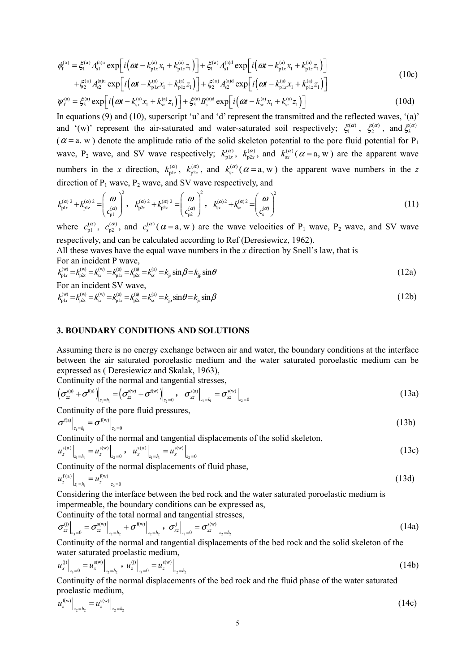$$
\phi_{\rm f}^{\rm (a)} = \xi_{\rm I}^{\rm (a)} A_{\rm s1}^{\rm (a)u} \exp\left[i\left(\omega t - k_{\rm p1x}^{\rm (a)} x_{\rm I} + k_{\rm p1z}^{\rm (a)} z_{\rm I}\right)\right] + \xi_{\rm I}^{\rm (a)} A_{\rm s1}^{\rm (a)d} \exp\left[i\left(\omega t - k_{\rm p1x}^{\rm (a)} x_{\rm I} + k_{\rm p1z}^{\rm (a)} z_{\rm I}\right)\right] \n+ \xi_{\rm 2}^{\rm (a)} A_{\rm s2}^{\rm (a)u} \exp\left[i\left(\omega t - k_{\rm p1x}^{\rm (a)} x_{\rm I} + k_{\rm p1z}^{\rm (a)} z_{\rm I}\right)\right] + \xi_{\rm 2}^{\rm (a)} A_{\rm s2}^{\rm (a)d} \exp\left[i\left(\omega t - k_{\rm p1x}^{\rm (a)} x_{\rm I} + k_{\rm p1z}^{\rm (a)} z_{\rm I}\right)\right]
$$
\n(10c)

$$
\psi_{f}^{(a)} = \xi_{3}^{(a)} \exp\left[i\left(\omega t - k_{sx}^{(a)} x_{1} + k_{sz}^{(a)} z_{1}\right)\right] + \xi_{3}^{(a)} B_{s}^{(a)d} \exp\left[i\left(\omega t - k_{sx}^{(a)} x_{1} + k_{sz}^{(a)} z_{1}\right)\right]
$$
(10d)

In equations (9) and (10), superscript 'u' and 'd' represent the transmitted and the reflected waves, '(a)' and '(w)' represent the air-saturated and water-saturated soil respectively;  $\xi_1^{(\alpha)}$ ,  $\xi_2^{(\alpha)}$ , and  $\xi_3^{(\alpha)}$  $(\alpha = a, w)$  denote the amplitude ratio of the solid skeleton potential to the pore fluid potential for P<sub>1</sub> wave, P<sub>2</sub> wave, and SV wave respectively;  $k_{\text{p1x}}^{(\alpha)}$ ,  $k_{\text{p2x}}^{(\alpha)}$ , and  $k_{\text{sx}}^{(\alpha)}$  ( $\alpha$  = a, w) are the apparent wave numbers in the *x* direction,  $k_{\text{plz}}^{(\alpha)}$ ,  $k_{\text{plz}}^{(\alpha)}$ , and  $k_{\text{sz}}^{(\alpha)}$  ( $\alpha$  = a, w) the apparent wave numbers in the *z* direction of  $P_1$  wave,  $P_2$  wave, and SV wave respectively, and

$$
k_{\rm pix}^{(\alpha)}{}^2 + k_{\rm pix}^{(\alpha)}{}^2 = \left(\frac{\omega}{c_{\rm pl}^{(\alpha)}}\right)^2, \quad k_{\rm p2x}^{(\alpha)}{}^2 + k_{\rm p2z}^{(\alpha)}{}^2 = \left(\frac{\omega}{c_{\rm pl}^{(\alpha)}}\right)^2, \quad k_{\rm sv}^{(\alpha)}{}^2 + k_{\rm sc}^{(\alpha)}{}^2 = \left(\frac{\omega}{c_{\rm s}^{(\alpha)}}\right)^2
$$
(11)

where  $c_{p1}^{(\alpha)}$ ,  $c_{p2}^{(\alpha)}$ , and  $c_s^{(\alpha)}$  ( $\alpha = a$ , w) are the wave velocities of P<sub>1</sub> wave, P<sub>2</sub> wave, and SV wave respectively, and can be calculated according to Ref (Deresiewicz, 1962).

All these waves have the equal wave numbers in the *x* direction by Snell's law, that is For an incident P wave,

$$
k_{\rm pix}^{(w)} = k_{\rm px}^{(w)} = k_{\rm sx}^{(w)} = k_{\rm pix}^{(a)} = k_{\rm px}^{(a)} = k_{\rm sx}^{(a)} = k_{\rm js} \sin \beta = k_{\rm js} \sin \theta \tag{12a}
$$

For an incident SV wave,

$$
k_{\rm pix}^{(w)} = k_{\rm px}^{(w)} = k_{\rm sx}^{(w)} = k_{\rm pix}^{(a)} = k_{\rm px}^{(a)} = k_{\rm sx}^{(a)} = k_{\rm js} \sin \theta = k_{\rm js} \sin \beta \tag{12b}
$$

## **3. BOUNDARY CONDITIONS AND SOLUTIONS**

Assuming there is no energy exchange between air and water, the boundary conditions at the interface between the air saturated poroelastic medium and the water saturated poroelastic medium can be expressed as ( Deresiewicz and Skalak, 1963),

Continuity of the normal and tangential stresses,

$$
\left(\sigma_{zz}^{s(a)} + \sigma^{f(a)}\right)\Big|_{z_1 = h_1} = \left(\sigma_{zz}^{s(w)} + \sigma^{f(w)}\right)\Big|_{z_2 = 0}, \quad \sigma_{xz}^{s(a)}\Big|_{z_1 = h_1} = \sigma_{xz}^{s(w)}\Big|_{z_2 = 0}
$$
\n(13a)

Continuity of the pore fluid pressures,

$$
\sigma^{\mathfrak{f}(a)}\big|_{z_1=h_1}=\sigma^{\mathfrak{f}(w)}\big|_{z_2=0} \tag{13b}
$$

Continuity of the normal and tangential displacements of the solid skeleton,

$$
u_z^{s(a)}\big|_{z_1=h_1} = u_z^{s(w)}\big|_{z_2=0}, \quad u_x^{s(a)}\big|_{z_1=h_1} = u_x^{s(w)}\big|_{z_2=0} \tag{13c}
$$

Continuity of the normal displacements of fluid phase,

$$
u_z^{\mathrm{f(a)}}\Big|_{z_1=h_1} = u_z^{\mathrm{f(w)}}\Big|_{z_2=0} \tag{13d}
$$

Considering the interface between the bed rock and the water saturated poroelastic medium is impermeable, the boundary conditions can be expressed as, Continuity of the total normal and tangential stresses

$$
\sigma_{zz}^{(j)}\Big|_{z_3=0} = \sigma_{zz}^{s(w)}\Big|_{z_2=h_2} + \sigma^{f(w)}\Big|_{z_2=h_2}, \quad \sigma_{xz}^j\Big|_{z_3=0} = \sigma_{xz}^{s(w)}\Big|_{z_2=h_2}
$$
\n(14a)

Continuity of the normal and tangential displacements of the bed rock and the solid skeleton of the water saturated proelastic medium,

$$
u_x^{(j)}\Big|_{z_3=0} = u_x^{s(w)}\Big|_{z_2=h_2}, \quad u_z^{(j)}\Big|_{z_3=0} = u_z^{s(w)}\Big|_{z_2=h_2}
$$
\n(14b)

Continuity of the normal displacements of the bed rock and the fluid phase of the water saturated proelastic medium,

$$
u_z^{f(w)}\big|_{z_2=h_2} = u_z^{s(w)}\big|_{z_2=h_2} \tag{14c}
$$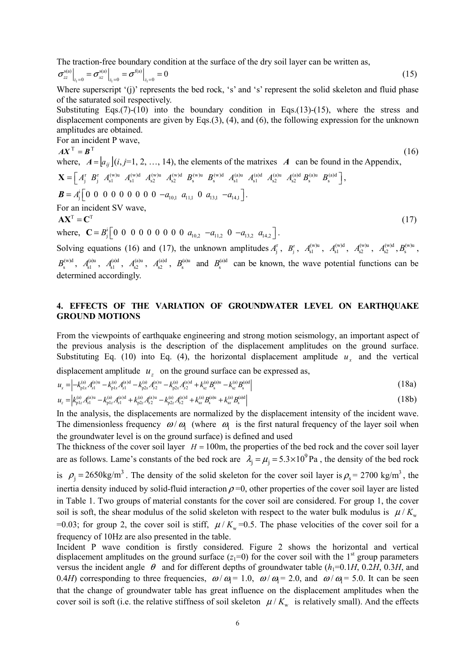The traction-free boundary condition at the surface of the dry soil layer can be written as,

$$
\sigma_{zz}^{\rm s(a)}\Big|_{z_1=0} = \sigma_{xz}^{\rm s(a)}\Big|_{z_1=0} = \sigma^{\rm f(a)}\Big|_{z_1=0} = 0
$$
\n(15)

Where superscript '(j)' represents the bed rock, 's' and 's' represent the solid skeleton and fluid phase of the saturated soil respectively.

Substituting Eqs.(7)-(10) into the boundary condition in Eqs.(13)-(15), where the stress and displacement components are given by Eqs.(3), (4), and (6), the following expression for the unknown amplitudes are obtained.  $\Gamma_{\alpha\alpha}$  an incident  $\Gamma_{\alpha\beta}$ 

For an incident *P* wave,  
\n
$$
AX^{T} = B^{T}
$$
\nwhere,  $A = [a_{ij}](i, j=1, 2, ..., 14)$ , the elements of the matrices *A* can be found in the Appendix,  
\n
$$
X = [A_{j}^{r} B_{j}^{r} A_{s1}^{(w)u} A_{s1}^{(w)d} A_{s2}^{(w)u} A_{s2}^{(w)u} B_{s}^{(w)u} B_{s}^{(w)d} A_{s1}^{(a)u} A_{s2}^{(a)u} A_{s2}^{(a)d} B_{s}^{(a)u} B_{s}^{(a)d}],
$$
\n
$$
B = A_{j}^{i} [0 \ 0 \ 0 \ 0 \ 0 \ 0 \ 0 \ 0 \ 0 \ 0 \ -a_{10,1} a_{11,1} 0 a_{13,1} -a_{14,1}].
$$
\nFor an incident SV wave,  
\n
$$
AX^{T} = C^{T}
$$
\nwhere,  $C = B_{j}^{i} [0 \ 0 \ 0 \ 0 \ 0 \ 0 \ 0 \ 0 \ 0 \ 0 \ 0 \ a_{10,2} -a_{11,2} 0 -a_{13,2} a_{14,2}].$ \n(17)

Solving equations (16) and (17), the unknown amplitudes  $A_j^r$ ,  $B_j^r$ ,  $A_{s1}^{(w)u}$ ,  $A_{s1}^{(w)u}$ ,  $A_{s2}^{(w)u}$ ,  $A_{s2}^{(w)u}$ ,  $B_s^{(w)u}$ ,  $B_s^{(w)d}$ ,  $A_{s1}^{(a)u}$ ,  $A_{s1}^{(a)d}$ ,  $A_{s2}^{(a)u}$ ,  $A_{s2}^{(a)d}$ ,  $B_s^{(a)u}$  and  $B_s^{(a)d}$  can be known, the wave potential functions can be determined accordingly.

# **4. EFFECTS OF THE VARIATION OF GROUNDWATER LEVEL ON EARTHQUAKE GROUND MOTIONS**

From the viewpoints of earthquake engineering and strong motion seismology, an important aspect of the previous analysis is the description of the displacement amplitudes on the ground surface. Substituting Eq. (10) into Eq. (4), the horizontal displacement amplitude  $u_x$  and the vertical

displacement amplitude  $u_z$  on the ground surface can be expressed as,

$$
u_{x} = \left| -k_{p1x}^{(a)} A_{s1}^{(a)u} - k_{p1x}^{(a)} A_{s1}^{(a)d} - k_{p2x}^{(a)} A_{s2}^{(a)u} - k_{p2x}^{(a)} A_{s2}^{(a)d} + k_{\rm sc}^{(a)} B_{s}^{(a)u} - k_{\rm sc}^{(a)} B_{s}^{(a)d} \right|
$$
(18a)

$$
u_{z} = \left| k_{\text{pl}z}^{(a)} A_{s1}^{(a)u} - k_{\text{pl}z}^{(a)} A_{s1}^{(a)d} + k_{\text{pl}z}^{(a)} A_{s2}^{(a)u} - k_{\text{pl}z}^{(a)} A_{s2}^{(a)d} + k_{\text{sv}}^{(a)} B_{s}^{(a)u} + k_{\text{sv}}^{(a)} B_{s}^{(a)u} \right|
$$
(18b)

In the analysis, the displacements are normalized by the displacement intensity of the incident wave. The dimensionless frequency  $\omega/\omega_1$  (where  $\omega_1$  is the first natural frequency of the layer soil when the groundwater level is on the ground surface) is defined and used

The thickness of the cover soil layer  $H = 100$ m, the properties of the bed rock and the cover soil layer are as follows. Lame's constants of the bed rock are  $\lambda_j = \mu_j = 5.3 \times 10^9$  Pa, the density of the bed rock is  $\rho_j = 2650 \text{kg/m}^3$ . The density of the solid skeleton for the cover soil layer is  $\rho_s = 2700 \text{ kg/m}^3$ , the inertia density induced by solid-fluid interaction  $\rho = 0$ , other properties of the cover soil layer are listed in Table 1. Two groups of material constants for the cover soil are considered. For group 1, the cover soil is soft, the shear modulus of the solid skeleton with respect to the water bulk modulus is  $\mu / K_{w}$ =0.03; for group 2, the cover soil is stiff,  $\mu / K_w$ =0.5. The phase velocities of the cover soil for a frequency of 10Hz are also presented in the table.

Incident P wave condition is firstly considered. Figure 2 shows the horizontal and vertical displacement amplitudes on the ground surface  $(z_1=0)$  for the cover soil with the 1<sup>st</sup> group parameters versus the incident angle  $\theta$  and for different depths of groundwater table ( $h_1=0.1H$ , 0.2*H*, 0.3*H*, and 0.4*H*) corresponding to three frequencies,  $\omega/\omega = 1.0$ ,  $\omega/\omega = 2.0$ , and  $\omega/\omega = 5.0$ . It can be seen that the change of groundwater table has great influence on the displacement amplitudes when the cover soil is soft (i.e. the relative stiffness of soil skeleton  $\mu / K_{w}$  is relatively small). And the effects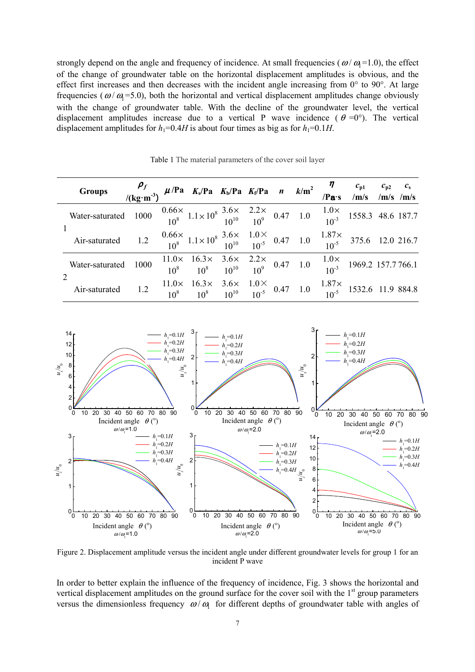strongly depend on the angle and frequency of incidence. At small frequencies ( $\omega/\omega$ =1.0), the effect of the change of groundwater table on the horizontal displacement amplitudes is obvious, and the effect first increases and then decreases with the incident angle increasing from 0° to 90°. At large frequencies ( $\omega/\omega$  =5.0), both the horizontal and vertical displacement amplitudes change obviously with the change of groundwater table. With the decline of the groundwater level, the vertical displacement amplitudes increase due to a vertical P wave incidence ( $\theta = 0^{\circ}$ ). The vertical displacement amplitudes for  $h_1=0.4H$  is about four times as big as for  $h_1=0.1H$ .

| <b>Groups</b>                                                                                                                                                                                                                                                                                    | $\frac{\rho_f}{(\text{kg}\cdot\text{m}^3)}$ $\mu$ /Pa K <sub>s</sub> /Pa K <sub>b</sub> /Pa K <sub>f</sub> /Pa n k/m <sup>2</sup> $\frac{\eta}{/\text{Pa}\cdot\text{s}}$ $\frac{c_{p1}}{\sqrt{\text{m/s}}}$ $\frac{c_{p2}}{\sqrt{\text{m/s}}}\frac{c_s}{\sqrt{\text{m/s}}}$ |                                                                                                                                                                        |  |  |  |  |
|--------------------------------------------------------------------------------------------------------------------------------------------------------------------------------------------------------------------------------------------------------------------------------------------------|-----------------------------------------------------------------------------------------------------------------------------------------------------------------------------------------------------------------------------------------------------------------------------|------------------------------------------------------------------------------------------------------------------------------------------------------------------------|--|--|--|--|
| Water-saturated 1000 $\frac{0.66 \times 1.1 \times 10^8 \frac{3.6 \times 2.2 \times 2.2 \times 10^{10}}{10^{10}}}{10^{10}}$ $\frac{2.2 \times 10^8 \frac{1.0 \times 1.0 \times 10^8}{10^{10}}}{10^{10}}$ 1.0 $\frac{1.0 \times 10^8 \frac{1.0 \times 10^8}{10^{10}}}{10^{10}}$ 1558.3 48.6 187.7 |                                                                                                                                                                                                                                                                             |                                                                                                                                                                        |  |  |  |  |
| Air-saturated 1.2 $\frac{0.66 \times 1.1 \times 10^8 \frac{3.6 \times 1.0 \times 1.0^8}{10^{10}} - 1.0^5}{10^{10}} = 0.47$ 1.0 $\frac{1.87 \times 1.87 \times 1.0^8 \times 1.0^8}{10^{10}} = 0.47$ 1.0 $\frac{1.87 \times 1.87 \times 1.0^8 \times 1.0^8 \times 1.0^8}{10^{10}} = 0.47$          |                                                                                                                                                                                                                                                                             |                                                                                                                                                                        |  |  |  |  |
| Water-saturated 1000                                                                                                                                                                                                                                                                             |                                                                                                                                                                                                                                                                             | $\frac{11.0 \times 16.3 \times 3.6 \times 2.2 \times 0.47}{10^8}$ $\frac{2.0 \times 10^8}{10^9}$ $\frac{1.0 \times 10^8}{10^3}$ $\frac{1.0 \times 1969.2}{157.7766.1}$ |  |  |  |  |
| Air-saturated 1.2                                                                                                                                                                                                                                                                                |                                                                                                                                                                                                                                                                             | $11.0 \times 16.3 \times 3.6 \times 1.0 \times 10^{10}$ $10^{5}$ 0.47 1.0 $1.87 \times 1532.6$ 11.9 884.8                                                              |  |  |  |  |

Table 1 The material parameters of the cover soil layer



Figure 2. Displacement amplitude versus the incident angle under different groundwater levels for group 1 for an incident P wave

In order to better explain the influence of the frequency of incidence, Fig. 3 shows the horizontal and vertical displacement amplitudes on the ground surface for the cover soil with the 1<sup>st</sup> group parameters versus the dimensionless frequency  $\omega/\omega$  for different depths of groundwater table with angles of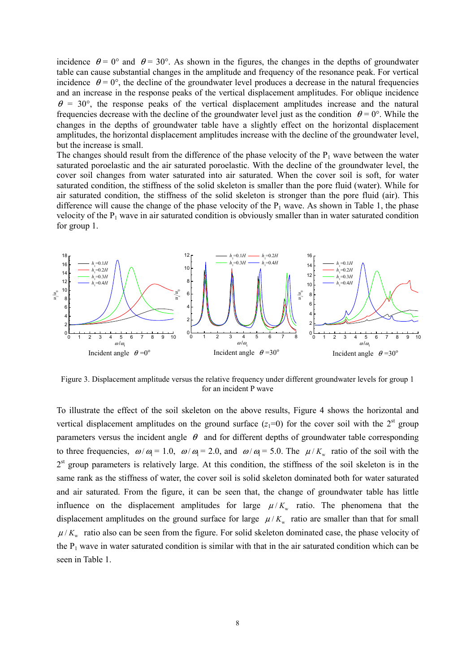incidence  $\theta = 0^{\circ}$  and  $\theta = 30^{\circ}$ . As shown in the figures, the changes in the depths of groundwater table can cause substantial changes in the amplitude and frequency of the resonance peak. For vertical incidence  $\theta = 0^{\circ}$ , the decline of the groundwater level produces a decrease in the natural frequencies and an increase in the response peaks of the vertical displacement amplitudes. For oblique incidence  $\theta$  = 30°, the response peaks of the vertical displacement amplitudes increase and the natural frequencies decrease with the decline of the groundwater level just as the condition  $\theta = 0^{\circ}$ . While the changes in the depths of groundwater table have a slightly effect on the horizontal displacement amplitudes, the horizontal displacement amplitudes increase with the decline of the groundwater level, but the increase is small.

The changes should result from the difference of the phase velocity of the  $P_1$  wave between the water saturated poroelastic and the air saturated poroelastic. With the decline of the groundwater level, the cover soil changes from water saturated into air saturated. When the cover soil is soft, for water saturated condition, the stiffness of the solid skeleton is smaller than the pore fluid (water). While for air saturated condition, the stiffness of the solid skeleton is stronger than the pore fluid (air). This difference will cause the change of the phase velocity of the  $P_1$  wave. As shown in Table 1, the phase velocity of the  $P_1$  wave in air saturated condition is obviously smaller than in water saturated condition for group 1.



Figure 3. Displacement amplitude versus the relative frequency under different groundwater levels for group 1 for an incident P wave

To illustrate the effect of the soil skeleton on the above results, Figure 4 shows the horizontal and vertical displacement amplitudes on the ground surface  $(z_1=0)$  for the cover soil with the 2<sup>st</sup> group parameters versus the incident angle  $\theta$  and for different depths of groundwater table corresponding to three frequencies,  $\omega/\omega = 1.0$ ,  $\omega/\omega = 2.0$ , and  $\omega/\omega = 5.0$ . The  $\mu/K_w$  ratio of the soil with the  $2<sup>st</sup>$  group parameters is relatively large. At this condition, the stiffness of the soil skeleton is in the same rank as the stiffness of water, the cover soil is solid skeleton dominated both for water saturated and air saturated. From the figure, it can be seen that, the change of groundwater table has little influence on the displacement amplitudes for large  $\mu/K_{w}$  ratio. The phenomena that the displacement amplitudes on the ground surface for large  $\mu/K_{w}$  ratio are smaller than that for small  $\mu$  /  $K_{w}$  ratio also can be seen from the figure. For solid skeleton dominated case, the phase velocity of the  $P_1$  wave in water saturated condition is similar with that in the air saturated condition which can be seen in Table 1.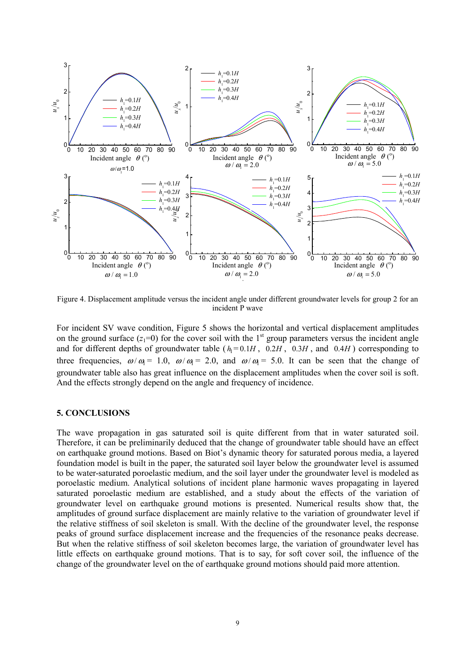

Figure 4. Displacement amplitude versus the incident angle under different groundwater levels for group 2 for an incident P wave

For incident SV wave condition, Figure 5 shows the horizontal and vertical displacement amplitudes on the ground surface  $(z_1=0)$  for the cover soil with the 1<sup>st</sup> group parameters versus the incident angle and for different depths of groundwater table ( $h_1 = 0.1H$ ,  $0.2H$ ,  $0.3H$ , and  $0.4H$ ) corresponding to three frequencies,  $\omega/\omega = 1.0$ ,  $\omega/\omega = 2.0$ , and  $\omega/\omega = 5.0$ . It can be seen that the change of groundwater table also has great influence on the displacement amplitudes when the cover soil is soft. And the effects strongly depend on the angle and frequency of incidence.

#### **5. CONCLUSIONS**

The wave propagation in gas saturated soil is quite different from that in water saturated soil. Therefore, it can be preliminarily deduced that the change of groundwater table should have an effect on earthquake ground motions. Based on Biot's dynamic theory for saturated porous media, a layered foundation model is built in the paper, the saturated soil layer below the groundwater level is assumed to be water-saturated poroelastic medium, and the soil layer under the groundwater level is modeled as poroelastic medium. Analytical solutions of incident plane harmonic waves propagating in layered saturated poroelastic medium are established, and a study about the effects of the variation of groundwater level on earthquake ground motions is presented. Numerical results show that, the amplitudes of ground surface displacement are mainly relative to the variation of groundwater level if the relative stiffness of soil skeleton is small. With the decline of the groundwater level, the response peaks of ground surface displacement increase and the frequencies of the resonance peaks decrease. But when the relative stiffness of soil skeleton becomes large, the variation of groundwater level has little effects on earthquake ground motions. That is to say, for soft cover soil, the influence of the change of the groundwater level on the of earthquake ground motions should paid more attention.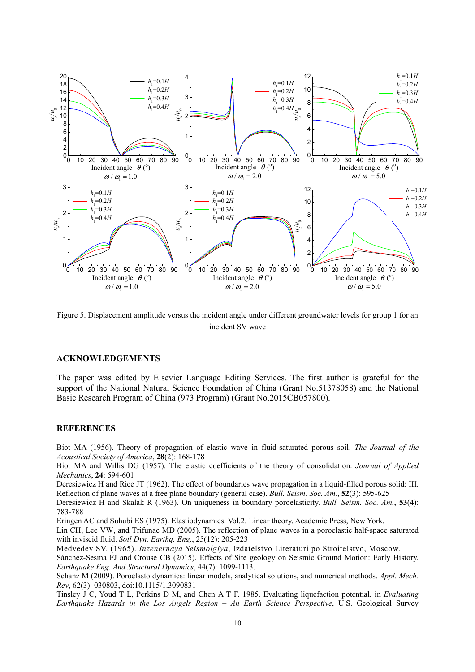

Figure 5. Displacement amplitude versus the incident angle under different groundwater levels for group 1 for an incident SV wave

#### **ACKNOWLEDGEMENTS**

The paper was edited by Elsevier Language Editing Services. The first author is grateful for the support of the National Natural Science Foundation of China (Grant No.51378058) and the National Basic Research Program of China (973 Program) (Grant No.2015CB057800).

#### **REFERENCES**

Biot MA (1956). Theory of propagation of elastic wave in fluid-saturated porous soil. *The Journal of the Acoustical Society of America*, **28**(2): 168-178

Biot MA and Willis DG (1957). The elastic coefficients of the theory of consolidation. *Journal of Applied Mechanics*, **24**: 594-601

Deresiewicz H and Rice JT (1962). The effect of boundaries wave propagation in a liquid-filled porous solid: III. Reflection of plane waves at a free plane boundary (general case). *Bull. Seism. Soc. Am.*, **52**(3): 595-625

Deresiewicz H and Skalak R (1963). On uniqueness in boundary poroelasticity. *Bull. Seism. Soc. Am.*, **53**(4): 783-788

Eringen AC and Suhubi ES (1975). Elastiodynamics. Vol.2. Linear theory. Academic Press, New York.

Lin CH, Lee VW, and Trifunac MD (2005). The reflection of plane waves in a poroelastic half-space saturated with inviscid fluid. *Soil Dyn. Earthq. Eng.*, 25(12): 205-223

Medvedev SV. (1965). *Inzenernaya Seismolgiya*, Izdatelstvo Literaturi po Stroitelstvo, Moscow.

Sánchez-Sesma FJ and Crouse CB (2015). Effects of Site geology on Seismic Ground Motion: Early History. *Earthquake Eng. And Structural Dynamics*, 44(7): 1099-1113.

Schanz M (2009). Poroelasto dynamics: linear models, analytical solutions, and numerical methods. *Appl. Mech. Rev*, 62(3): 030803, doi:10.1115/1.3090831

Tinsley J C, Youd T L, Perkins D M, and Chen A T F. 1985. Evaluating liquefaction potential, in *Evaluating Earthquake Hazards in the Los Angels Region – An Earth Science Perspective*, U.S. Geological Survey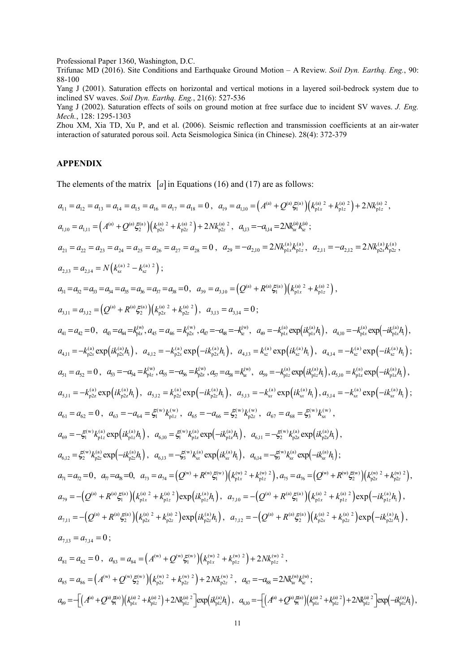Professional Paper 1360, Washington, D.C.

Trifunac MD (2016). Site Conditions and Earthquake Ground Motion – A Review. *Soil Dyn. Earthq. Eng.*, 90: 88-100

Yang J (2001). Saturation effects on horizontal and vertical motions in a layered soil-bedrock system due to inclined SV waves. *Soil Dyn. Earthq. Eng.*, 21(6): 527-536

Yang J (2002). Saturation effects of soils on ground motion at free surface due to incident SV waves. *J. Eng. Mech.*, 128: 1295-1303

Zhou XM, Xia TD, Xu P, and et al. (2006). Seismic reflection and transmission coefficients at an air-water interaction of saturated porous soil. Acta Seismologica Sinica (in Chinese). 28(4): 372-379

# **APPENDIX**

The elements of the matrix  $[a]$  in Equations (16) and (17) are as follows:

$$
a_{11} = a_{12} = a_{13} = a_{14} = a_{15} = a_{16} = a_{17} = a_{18} = 0, \quad a_{19} = a_{10} = (A^{(6)} + Q^{(6)}\xi_{10}^{(6)})\left(k_{01}^{(6)} + k_{10}^{(6)}\right) + 2Nk_{01}^{(6)2},
$$
\n
$$
a_{1,10} = a_{1,11} = (A^{(6)} + Q^{(6)}\xi_{2}^{(6)})\left(k_{02}^{(6)} + k_{02}^{(6)}\right) + 2Nk_{02}^{(6)2}, \quad a_{1,13} = -a_{1,14} = 2Nk_{02}^{(6)}\xi_{2}^{(6)},
$$
\n
$$
a_{21} = a_{22} = a_{23} = a_{23} = a_{24} = a_{25} = a_{26} = a_{27} = a_{28} = 0, \quad a_{29} = -a_{2,10} = 2Nk_{01}^{(6)}k_{01}^{(6)}, \quad a_{211} = -a_{2,12} = 2Nk_{02}^{(6)}k_{02}^{(6)},
$$
\n
$$
a_{211} = a_{21} = N\left(k_{01}^{(6)} - k_{01}^{(6)}\right);
$$
\n
$$
a_{311} = a_{31} = N\left(k_{01}^{(6)} - k_{01}^{(6)}\right);
$$
\n
$$
a_{312} = a_{32} = a_{33} = a_{34} = a_{35} = a_{36} = a_{37} = a_{38} = 0, \quad a_{39} = a_{310} = (Q^{(6)} + R^{(6)}\xi_{10}^{(6)})\left(k_{01}^{(6)} + k_{01}^{(6)}\right),
$$
\n
$$
a_{311} = a_{312} = (Q^{(6)} + R^{(6)}\xi_{2}^{(6)})\left(k_{02}^{(6)} + k_{02}^{(6)}\right);
$$
\n
$$
a_{311} = a_{32} = 0, \quad a_{33} = a_{34} = k_{35}^{(6)}, \quad a_{33} = a_{314} = 0;
$$
\n<math display="block</math>